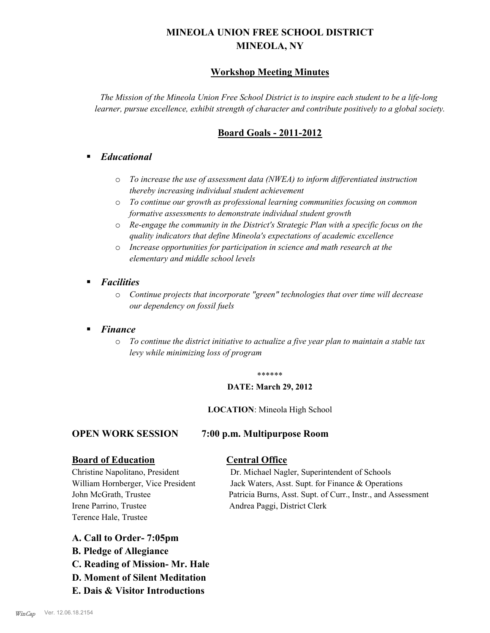# **MINEOLA UNION FREE SCHOOL DISTRICT MINEOLA, NY**

## **Workshop Meeting Minutes**

*The Mission of the Mineola Union Free School District is to inspire each student to be a life-long learner, pursue excellence, exhibit strength of character and contribute positively to a global society.*

## **Board Goals - 2011-2012**

## § *Educational*

- o *To increase the use of assessment data (NWEA) to inform differentiated instruction thereby increasing individual student achievement*
- o *To continue our growth as professional learning communities focusing on common formative assessments to demonstrate individual student growth*
- o *Re-engage the community in the District's Strategic Plan with a specific focus on the quality indicators that define Mineola's expectations of academic excellence*
- o *Increase opportunities for participation in science and math research at the elementary and middle school levels*
- *Facilities* 
	- o *Continue projects that incorporate "green" technologies that over time will decrease our dependency on fossil fuels*

## § *Finance*

o *To continue the district initiative to actualize a five year plan to maintain a stable tax levy while minimizing loss of program*

#### \*\*\*\*\*\*

### **DATE: March 29, 2012**

**LOCATION**: Mineola High School

#### **OPEN WORK SESSION 7:00 p.m. Multipurpose Room**

#### **Board of Education Central Office**

Irene Parrino, Trustee Andrea Paggi, District Clerk Terence Hale, Trustee

Christine Napolitano, President Dr. Michael Nagler, Superintendent of Schools William Hornberger, Vice President Jack Waters, Asst. Supt. for Finance & Operations John McGrath, Trustee Patricia Burns, Asst. Supt. of Curr., Instr., and Assessment

- **A. Call to Order- 7:05pm**
- **B. Pledge of Allegiance**
- **C. Reading of Mission- Mr. Hale**
- **D. Moment of Silent Meditation**
- **E. Dais & Visitor Introductions**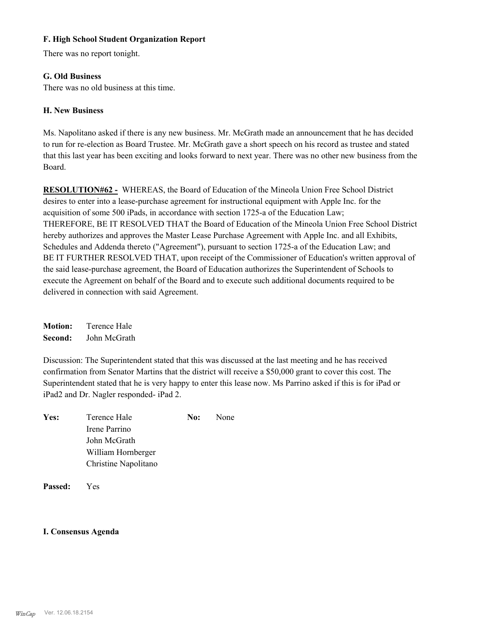## **F. High School Student Organization Report**

There was no report tonight.

### **G. Old Business**

There was no old business at this time.

## **H. New Business**

Ms. Napolitano asked if there is any new business. Mr. McGrath made an announcement that he has decided to run for re-election as Board Trustee. Mr. McGrath gave a short speech on his record as trustee and stated that this last year has been exciting and looks forward to next year. There was no other new business from the Board.

**RESOLUTION#62 -** WHEREAS, the Board of Education of the Mineola Union Free School District desires to enter into a lease-purchase agreement for instructional equipment with Apple Inc. for the acquisition of some 500 iPads, in accordance with section 1725-a of the Education Law; THEREFORE, BE IT RESOLVED THAT the Board of Education of the Mineola Union Free School District hereby authorizes and approves the Master Lease Purchase Agreement with Apple Inc. and all Exhibits, Schedules and Addenda thereto ("Agreement"), pursuant to section 1725-a of the Education Law; and BE IT FURTHER RESOLVED THAT, upon receipt of the Commissioner of Education's written approval of the said lease-purchase agreement, the Board of Education authorizes the Superintendent of Schools to execute the Agreement on behalf of the Board and to execute such additional documents required to be delivered in connection with said Agreement.

**Motion:** Terence Hale **Second:** John McGrath

Discussion: The Superintendent stated that this was discussed at the last meeting and he has received confirmation from Senator Martins that the district will receive a \$50,000 grant to cover this cost. The Superintendent stated that he is very happy to enter this lease now. Ms Parrino asked if this is for iPad or iPad2 and Dr. Nagler responded- iPad 2.

| Yes: | Terence Hale         | No: | None |
|------|----------------------|-----|------|
|      | Irene Parrino        |     |      |
|      | John McGrath         |     |      |
|      | William Hornberger   |     |      |
|      | Christine Napolitano |     |      |
|      |                      |     |      |

**Passed:** Yes

#### **I. Consensus Agenda**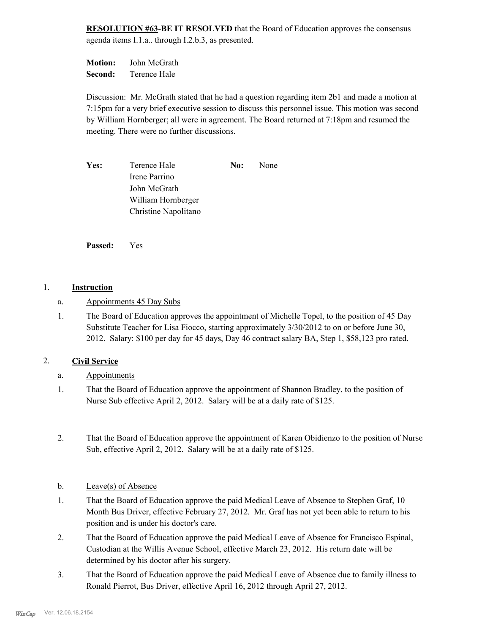**RESOLUTION #63-BE IT RESOLVED** that the Board of Education approves the consensus agenda items I.1.a.. through I.2.b.3, as presented.

**Motion:** John McGrath **Second:** Terence Hale

Discussion: Mr. McGrath stated that he had a question regarding item 2b1 and made a motion at 7:15pm for a very brief executive session to discuss this personnel issue. This motion was second by William Hornberger; all were in agreement. The Board returned at 7:18pm and resumed the meeting. There were no further discussions.

**Yes:** Terence Hale **No:** None Irene Parrino John McGrath William Hornberger Christine Napolitano

**Passed:** Yes

## 1. **Instruction**

- a. Appointments 45 Day Subs
- The Board of Education approves the appointment of Michelle Topel, to the position of 45 Day Substitute Teacher for Lisa Fiocco, starting approximately 3/30/2012 to on or before June 30, 2012. Salary: \$100 per day for 45 days, Day 46 contract salary BA, Step 1, \$58,123 pro rated. 1.

## 2. **Civil Service**

- a. Appointments
- That the Board of Education approve the appointment of Shannon Bradley, to the position of Nurse Sub effective April 2, 2012. Salary will be at a daily rate of \$125. 1.
- That the Board of Education approve the appointment of Karen Obidienzo to the position of Nurse Sub, effective April 2, 2012. Salary will be at a daily rate of \$125. 2.
- b. Leave(s) of Absence
- That the Board of Education approve the paid Medical Leave of Absence to Stephen Graf, 10 Month Bus Driver, effective February 27, 2012. Mr. Graf has not yet been able to return to his position and is under his doctor's care. 1.
- That the Board of Education approve the paid Medical Leave of Absence for Francisco Espinal, Custodian at the Willis Avenue School, effective March 23, 2012. His return date will be determined by his doctor after his surgery. 2.
- That the Board of Education approve the paid Medical Leave of Absence due to family illness to Ronald Pierrot, Bus Driver, effective April 16, 2012 through April 27, 2012. 3.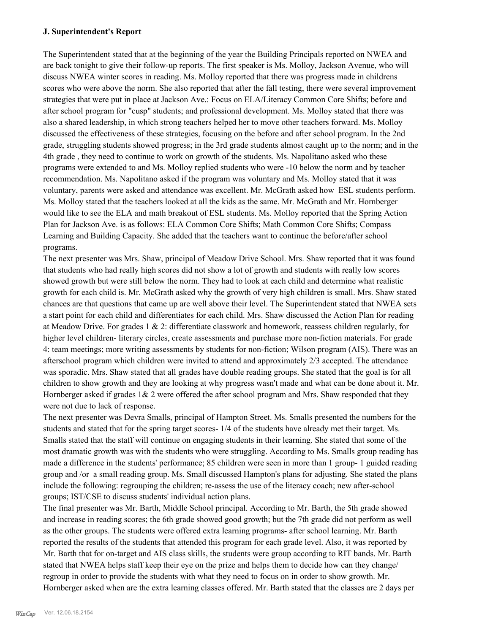### **J. Superintendent's Report**

The Superintendent stated that at the beginning of the year the Building Principals reported on NWEA and are back tonight to give their follow-up reports. The first speaker is Ms. Molloy, Jackson Avenue, who will discuss NWEA winter scores in reading. Ms. Molloy reported that there was progress made in childrens scores who were above the norm. She also reported that after the fall testing, there were several improvement strategies that were put in place at Jackson Ave.: Focus on ELA/Literacy Common Core Shifts; before and after school program for "cusp" students; and professional development. Ms. Molloy stated that there was also a shared leadership, in which strong teachers helped her to move other teachers forward. Ms. Molloy discussed the effectiveness of these strategies, focusing on the before and after school program. In the 2nd grade, struggling students showed progress; in the 3rd grade students almost caught up to the norm; and in the 4th grade , they need to continue to work on growth of the students. Ms. Napolitano asked who these programs were extended to and Ms. Molloy replied students who were -10 below the norm and by teacher recommendation. Ms. Napolitano asked if the program was voluntary and Ms. Molloy stated that it was voluntary, parents were asked and attendance was excellent. Mr. McGrath asked how ESL students perform. Ms. Molloy stated that the teachers looked at all the kids as the same. Mr. McGrath and Mr. Hornberger would like to see the ELA and math breakout of ESL students. Ms. Molloy reported that the Spring Action Plan for Jackson Ave. is as follows: ELA Common Core Shifts; Math Common Core Shifts; Compass Learning and Building Capacity. She added that the teachers want to continue the before/after school programs.

The next presenter was Mrs. Shaw, principal of Meadow Drive School. Mrs. Shaw reported that it was found that students who had really high scores did not show a lot of growth and students with really low scores showed growth but were still below the norm. They had to look at each child and determine what realistic growth for each child is. Mr. McGrath asked why the growth of very high children is small. Mrs. Shaw stated chances are that questions that came up are well above their level. The Superintendent stated that NWEA sets a start point for each child and differentiates for each child. Mrs. Shaw discussed the Action Plan for reading at Meadow Drive. For grades  $1 \& 2$ : differentiate classwork and homework, reassess children regularly, for higher level children- literary circles, create assessments and purchase more non-fiction materials. For grade 4: team meetings; more writing assessments by students for non-fiction; Wilson program (AIS). There was an afterschool program which children were invited to attend and approximately 2/3 accepted. The attendance was sporadic. Mrs. Shaw stated that all grades have double reading groups. She stated that the goal is for all children to show growth and they are looking at why progress wasn't made and what can be done about it. Mr. Hornberger asked if grades  $1& 2$  were offered the after school program and Mrs. Shaw responded that they were not due to lack of response.

The next presenter was Devra Smalls, principal of Hampton Street. Ms. Smalls presented the numbers for the students and stated that for the spring target scores- 1/4 of the students have already met their target. Ms. Smalls stated that the staff will continue on engaging students in their learning. She stated that some of the most dramatic growth was with the students who were struggling. According to Ms. Smalls group reading has made a difference in the students' performance; 85 children were seen in more than 1 group- 1 guided reading group and /or a small reading group. Ms. Small discussed Hampton's plans for adjusting. She stated the plans include the following: regrouping the children; re-assess the use of the literacy coach; new after-school groups; IST/CSE to discuss students' individual action plans.

The final presenter was Mr. Barth, Middle School principal. According to Mr. Barth, the 5th grade showed and increase in reading scores; the 6th grade showed good growth; but the 7th grade did not perform as well as the other groups. The students were offered extra learning programs- after school learning. Mr. Barth reported the results of the students that attended this program for each grade level. Also, it was reported by Mr. Barth that for on-target and AIS class skills, the students were group according to RIT bands. Mr. Barth stated that NWEA helps staff keep their eye on the prize and helps them to decide how can they change/ regroup in order to provide the students with what they need to focus on in order to show growth. Mr. Hornberger asked when are the extra learning classes offered. Mr. Barth stated that the classes are 2 days per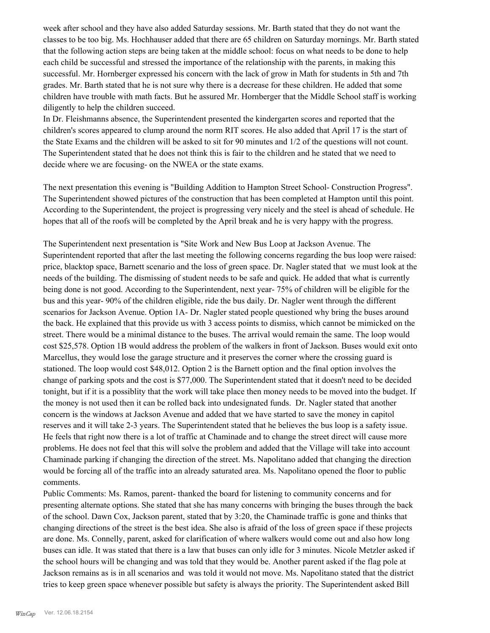week after school and they have also added Saturday sessions. Mr. Barth stated that they do not want the classes to be too big. Ms. Hochhauser added that there are 65 children on Saturday mornings. Mr. Barth stated that the following action steps are being taken at the middle school: focus on what needs to be done to help each child be successful and stressed the importance of the relationship with the parents, in making this successful. Mr. Hornberger expressed his concern with the lack of grow in Math for students in 5th and 7th grades. Mr. Barth stated that he is not sure why there is a decrease for these children. He added that some children have trouble with math facts. But he assured Mr. Hornberger that the Middle School staff is working diligently to help the children succeed.

In Dr. Fleishmanns absence, the Superintendent presented the kindergarten scores and reported that the children's scores appeared to clump around the norm RIT scores. He also added that April 17 is the start of the State Exams and the children will be asked to sit for 90 minutes and 1/2 of the questions will not count. The Superintendent stated that he does not think this is fair to the children and he stated that we need to decide where we are focusing- on the NWEA or the state exams.

The next presentation this evening is "Building Addition to Hampton Street School- Construction Progress". The Superintendent showed pictures of the construction that has been completed at Hampton until this point. According to the Superintendent, the project is progressing very nicely and the steel is ahead of schedule. He hopes that all of the roofs will be completed by the April break and he is very happy with the progress.

The Superintendent next presentation is "Site Work and New Bus Loop at Jackson Avenue. The Superintendent reported that after the last meeting the following concerns regarding the bus loop were raised: price, blacktop space, Barnett scenario and the loss of green space. Dr. Nagler stated that we must look at the needs of the building. The dismissing of student needs to be safe and quick. He added that what is currently being done is not good. According to the Superintendent, next year- 75% of children will be eligible for the bus and this year- 90% of the children eligible, ride the bus daily. Dr. Nagler went through the different scenarios for Jackson Avenue. Option 1A- Dr. Nagler stated people questioned why bring the buses around the back. He explained that this provide us with 3 access points to dismiss, which cannot be mimicked on the street. There would be a minimal distance to the buses. The arrival would remain the same. The loop would cost \$25,578. Option 1B would address the problem of the walkers in front of Jackson. Buses would exit onto Marcellus, they would lose the garage structure and it preserves the corner where the crossing guard is stationed. The loop would cost \$48,012. Option 2 is the Barnett option and the final option involves the change of parking spots and the cost is \$77,000. The Superintendent stated that it doesn't need to be decided tonight, but if it is a possiblity that the work will take place then money needs to be moved into the budget. If the money is not used then it can be rolled back into undesignated funds. Dr. Nagler stated that another concern is the windows at Jackson Avenue and added that we have started to save the money in capitol reserves and it will take 2-3 years. The Superintendent stated that he believes the bus loop is a safety issue. He feels that right now there is a lot of traffic at Chaminade and to change the street direct will cause more problems. He does not feel that this will solve the problem and added that the Village will take into account Chaminade parking if changing the direction of the street. Ms. Napolitano added that changing the direction would be forcing all of the traffic into an already saturated area. Ms. Napolitano opened the floor to public comments.

Public Comments: Ms. Ramos, parent- thanked the board for listening to community concerns and for presenting alternate options. She stated that she has many concerns with bringing the buses through the back of the school. Dawn Cox, Jackson parent, stated that by 3:20, the Chaminade traffic is gone and thinks that changing directions of the street is the best idea. She also is afraid of the loss of green space if these projects are done. Ms. Connelly, parent, asked for clarification of where walkers would come out and also how long buses can idle. It was stated that there is a law that buses can only idle for 3 minutes. Nicole Metzler asked if the school hours will be changing and was told that they would be. Another parent asked if the flag pole at Jackson remains as is in all scenarios and was told it would not move. Ms. Napolitano stated that the district tries to keep green space whenever possible but safety is always the priority. The Superintendent asked Bill